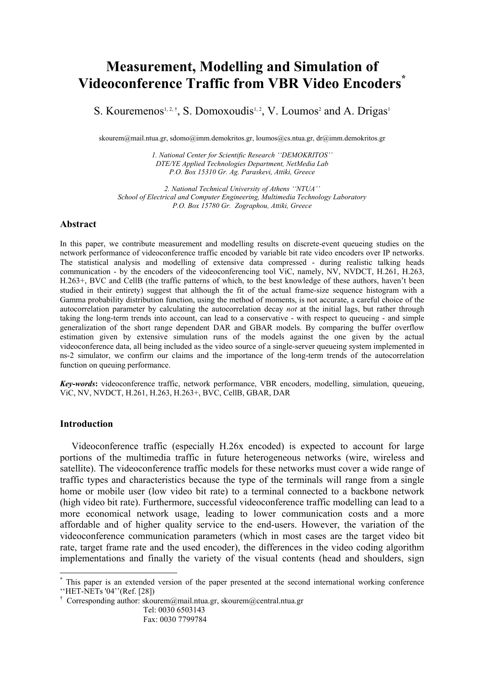# **Measurement, Modelling and Simulation of Videoconference Traffic from VBR Video Encoders\***

S. Kouremenos<sup>1,2,†</sup>, S. Domoxoudis<sup>1,2</sup>, V. Loumos<sup>2</sup> and A. Drigas<sup>1</sup>

skourem@mail.ntua.gr, sdomo@imm.demokritos.gr, loumos@cs.ntua.gr, dr@imm.demokritos.gr

*1. National Center for Scientific Research ''DEMOKRITOS'' DTE/YE Applied Technologies Department, NetMedia Lab P.O. Box 15310 Gr. Ag. Paraskevi, Attiki, Greece* 

*2. National Technical University of Athens ''NTUA'' School of Electrical and Computer Engineering, Multimedia Technology Laboratory P.O. Box 15780 Gr. Zographou, Attiki, Greece* 

# **Abstract**

In this paper, we contribute measurement and modelling results on discrete-event queueing studies on the network performance of videoconference traffic encoded by variable bit rate video encoders over IP networks. The statistical analysis and modelling of extensive data compressed - during realistic talking heads communication - by the encoders of the videoconferencing tool ViC, namely, NV, NVDCT, H.261, H.263, H.263+, BVC and CellB (the traffic patterns of which, to the best knowledge of these authors, haven't been studied in their entirety) suggest that although the fit of the actual frame-size sequence histogram with a Gamma probability distribution function, using the method of moments, is not accurate, a careful choice of the autocorrelation parameter by calculating the autocorrelation decay *not* at the initial lags, but rather through taking the long-term trends into account, can lead to a conservative - with respect to queueing - and simple generalization of the short range dependent DAR and GBAR models. By comparing the buffer overflow estimation given by extensive simulation runs of the models against the one given by the actual videoconference data, all being included as the video source of a single-server queueing system implemented in ns-2 simulator, we confirm our claims and the importance of the long-term trends of the autocorrelation function on queuing performance.

*Key-words***:** videoconference traffic, network performance, VBR encoders, modelling, simulation, queueing, ViC, NV, NVDCT, H.261, H.263, H.263+, BVC, CellB, GBAR, DAR

## **Introduction**

 $\overline{a}$ 

Videoconference traffic (especially H.26x encoded) is expected to account for large portions of the multimedia traffic in future heterogeneous networks (wire, wireless and satellite). The videoconference traffic models for these networks must cover a wide range of traffic types and characteristics because the type of the terminals will range from a single home or mobile user (low video bit rate) to a terminal connected to a backbone network (high video bit rate). Furthermore, successful videoconference traffic modelling can lead to a more economical network usage, leading to lower communication costs and a more affordable and of higher quality service to the end-users. However, the variation of the videoconference communication parameters (which in most cases are the target video bit rate, target frame rate and the used encoder), the differences in the video coding algorithm implementations and finally the variety of the visual contents (head and shoulders, sign

<sup>\*</sup> This paper is an extended version of the paper presented at the second international working conference ''HET-NETs '04''(Ref. [28])

<sup>†</sup> Corresponding author: skourem@mail.ntua.gr, skourem@central.ntua.gr

Tel: 0030 6503143 Fax: 0030 7799784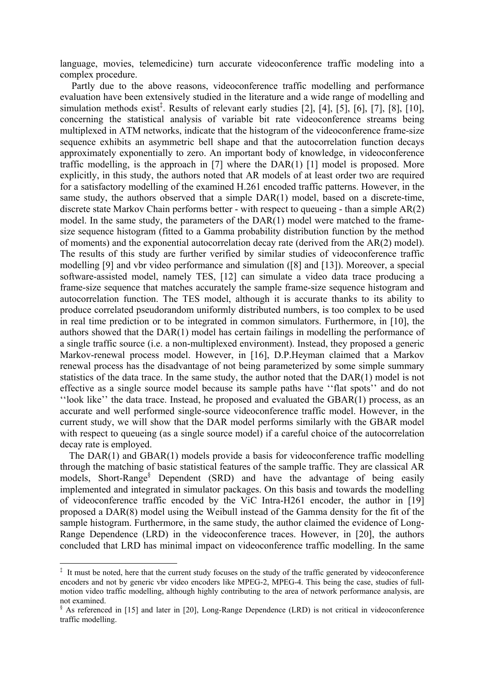language, movies, telemedicine) turn accurate videoconference traffic modeling into a complex procedure.

 Partly due to the above reasons, videoconference traffic modelling and performance evaluation have been extensively studied in the literature and a wide range of modelling and simulation methods exist<sup>‡</sup>. Results of relevant early studies [2], [4], [5], [6], [7], [8], [10], concerning the statistical analysis of variable bit rate videoconference streams being multiplexed in ATM networks, indicate that the histogram of the videoconference frame-size sequence exhibits an asymmetric bell shape and that the autocorrelation function decays approximately exponentially to zero. An important body of knowledge, in videoconference traffic modelling, is the approach in [7] where the DAR(1) [1] model is proposed. More explicitly, in this study, the authors noted that AR models of at least order two are required for a satisfactory modelling of the examined H.261 encoded traffic patterns. However, in the same study, the authors observed that a simple DAR(1) model, based on a discrete-time, discrete state Markov Chain performs better - with respect to queueing - than a simple AR(2) model. In the same study, the parameters of the DAR(1) model were matched to the framesize sequence histogram (fitted to a Gamma probability distribution function by the method of moments) and the exponential autocorrelation decay rate (derived from the AR(2) model). The results of this study are further verified by similar studies of videoconference traffic modelling [9] and vbr video performance and simulation ([8] and [13]). Moreover, a special software-assisted model, namely TES, [12] can simulate a video data trace producing a frame-size sequence that matches accurately the sample frame-size sequence histogram and autocorrelation function. The TES model, although it is accurate thanks to its ability to produce correlated pseudorandom uniformly distributed numbers, is too complex to be used in real time prediction or to be integrated in common simulators. Furthermore, in [10], the authors showed that the DAR(1) model has certain failings in modelling the performance of a single traffic source (i.e. a non-multiplexed environment). Instead, they proposed a generic Markov-renewal process model. However, in [16], D.P.Heyman claimed that a Markov renewal process has the disadvantage of not being parameterized by some simple summary statistics of the data trace. In the same study, the author noted that the DAR(1) model is not effective as a single source model because its sample paths have ''flat spots'' and do not ''look like'' the data trace. Instead, he proposed and evaluated the GBAR(1) process, as an accurate and well performed single-source videoconference traffic model. However, in the current study, we will show that the DAR model performs similarly with the GBAR model with respect to queueing (as a single source model) if a careful choice of the autocorrelation decay rate is employed.

The DAR(1) and GBAR(1) models provide a basis for videoconference traffic modelling through the matching of basic statistical features of the sample traffic. They are classical AR models, Short-Range§ Dependent (SRD) and have the advantage of being easily implemented and integrated in simulator packages. On this basis and towards the modelling of videoconference traffic encoded by the ViC Intra-H261 encoder, the author in [19] proposed a DAR(8) model using the Weibull instead of the Gamma density for the fit of the sample histogram. Furthermore, in the same study, the author claimed the evidence of Long-Range Dependence (LRD) in the videoconference traces. However, in [20], the authors concluded that LRD has minimal impact on videoconference traffic modelling. In the same

<sup>&</sup>lt;sup>‡</sup> It must be noted, here that the current study focuses on the study of the traffic generated by videoconference encoders and not by generic vbr video encoders like MPEG-2, MPEG-4. This being the case, studies of fullmotion video traffic modelling, although highly contributing to the area of network performance analysis, are not examined.

<sup>§</sup> As referenced in [15] and later in [20], Long-Range Dependence (LRD) is not critical in videoconference traffic modelling.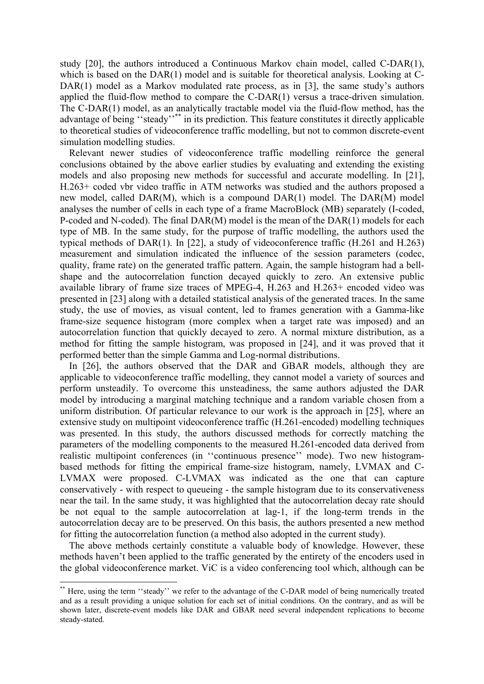study [20], the authors introduced a Continuous Markov chain model, called C-DAR(1), which is based on the DAR(1) model and is suitable for theoretical analysis. Looking at C-DAR(1) model as a Markov modulated rate process, as in [3], the same study's authors applied the fluid-flow method to compare the C-DAR(1) versus a trace-driven simulation. The C-DAR(1) model, as an analytically tractable model via the fluid-flow method, has the advantage of being "steady"<sup>\*\*</sup> in its prediction. This feature constitutes it directly applicable to theoretical studies of videoconference traffic modelling, but not to common discrete-event simulation modelling studies.

Relevant newer studies of videoconference traffic modelling reinforce the general conclusions obtained by the above earlier studies by evaluating and extending the existing models and also proposing new methods for successful and accurate modelling. In [21], H.263+ coded vbr video traffic in ATM networks was studied and the authors proposed a new model, called DAR(M), which is a compound DAR(1) model. The DAR(M) model analyses the number of cells in each type of a frame MacroBlock (MB) separately (I-coded, P-coded and N-coded). The final DAR(M) model is the mean of the DAR(1) models for each type of MB. In the same study, for the purpose of traffic modelling, the authors used the typical methods of DAR(1). In [22], a study of videoconference traffic (H.261 and H.263) measurement and simulation indicated the influence of the session parameters (codec, quality, frame rate) on the generated traffic pattern. Again, the sample histogram had a bellshape and the autocorrelation function decayed quickly to zero. An extensive public available library of frame size traces of MPEG-4, H.263 and H.263+ encoded video was presented in [23] along with a detailed statistical analysis of the generated traces. In the same study, the use of movies, as visual content, led to frames generation with a Gamma-like frame-size sequence histogram (more complex when a target rate was imposed) and an autocorrelation function that quickly decayed to zero. A normal mixture distribution, as a method for fitting the sample histogram, was proposed in [24], and it was proved that it performed better than the simple Gamma and Log-normal distributions.

In [26], the authors observed that the DAR and GBAR models, although they are applicable to videoconference traffic modelling, they cannot model a variety of sources and perform unsteadily. To overcome this unsteadiness, the same authors adjusted the DAR model by introducing a marginal matching technique and a random variable chosen from a uniform distribution. Of particular relevance to our work is the approach in [25], where an extensive study on multipoint videoconference traffic (H.261-encoded) modelling techniques was presented. In this study, the authors discussed methods for correctly matching the parameters of the modelling components to the measured H.261-encoded data derived from realistic multipoint conferences (in ''continuous presence'' mode). Two new histogrambased methods for fitting the empirical frame-size histogram, namely, LVMAX and C-LVMAX were proposed. C-LVMAX was indicated as the one that can capture conservatively - with respect to queueing - the sample histogram due to its conservativeness near the tail. In the same study, it was highlighted that the autocorrelation decay rate should be not equal to the sample autocorrelation at lag-1, if the long-term trends in the autocorrelation decay are to be preserved. On this basis, the authors presented a new method for fitting the autocorrelation function (a method also adopted in the current study).

The above methods certainly constitute a valuable body of knowledge. However, these methods haven't been applied to the traffic generated by the entirety of the encoders used in the global videoconference market. ViC is a video conferencing tool which, although can be

<sup>\*\*</sup> Here, using the term "steady" we refer to the advantage of the C-DAR model of being numerically treated and as a result providing a unique solution for each set of initial conditions. On the contrary, and as will be shown later, discrete-event models like DAR and GBAR need several independent replications to become steady-stated.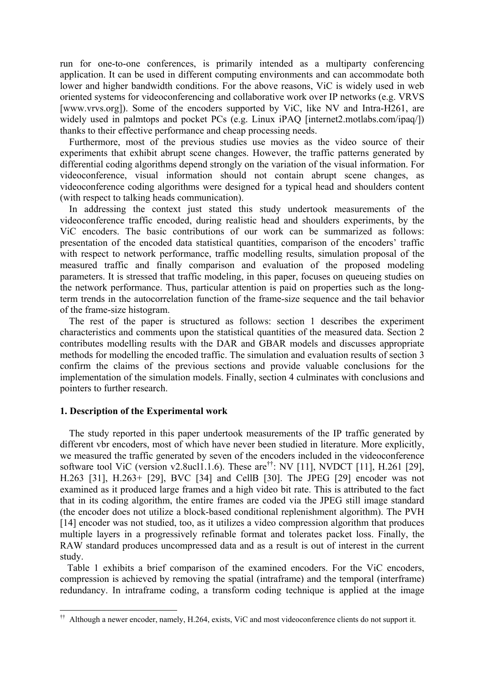run for one-to-one conferences, is primarily intended as a multiparty conferencing application. It can be used in different computing environments and can accommodate both lower and higher bandwidth conditions. For the above reasons, ViC is widely used in web oriented systems for videoconferencing and collaborative work over IP networks (e.g. VRVS [www.vrvs.org]). Some of the encoders supported by ViC, like NV and Intra-H261, are widely used in palmtops and pocket PCs (e.g. Linux iPAQ [internet2.motlabs.com/ipaq/]) thanks to their effective performance and cheap processing needs.

Furthermore, most of the previous studies use movies as the video source of their experiments that exhibit abrupt scene changes. However, the traffic patterns generated by differential coding algorithms depend strongly on the variation of the visual information. For videoconference, visual information should not contain abrupt scene changes, as videoconference coding algorithms were designed for a typical head and shoulders content (with respect to talking heads communication).

In addressing the context just stated this study undertook measurements of the videoconference traffic encoded, during realistic head and shoulders experiments, by the ViC encoders. The basic contributions of our work can be summarized as follows: presentation of the encoded data statistical quantities, comparison of the encoders' traffic with respect to network performance, traffic modelling results, simulation proposal of the measured traffic and finally comparison and evaluation of the proposed modeling parameters. It is stressed that traffic modeling, in this paper, focuses on queueing studies on the network performance. Thus, particular attention is paid on properties such as the longterm trends in the autocorrelation function of the frame-size sequence and the tail behavior of the frame-size histogram.

The rest of the paper is structured as follows: section 1 describes the experiment characteristics and comments upon the statistical quantities of the measured data. Section 2 contributes modelling results with the DAR and GBAR models and discusses appropriate methods for modelling the encoded traffic. The simulation and evaluation results of section 3 confirm the claims of the previous sections and provide valuable conclusions for the implementation of the simulation models. Finally, section 4 culminates with conclusions and pointers to further research.

## **1. Description of the Experimental work**

 $\overline{a}$ 

The study reported in this paper undertook measurements of the IP traffic generated by different vbr encoders, most of which have never been studied in literature. More explicitly, we measured the traffic generated by seven of the encoders included in the videoconference software tool ViC (version v2.8ucl1.1.6). These are<sup>††</sup>: NV [11], NVDCT [11], H.261 [29], H.263 [31], H.263+ [29], BVC [34] and CellB [30]. The JPEG [29] encoder was not examined as it produced large frames and a high video bit rate. This is attributed to the fact that in its coding algorithm, the entire frames are coded via the JPEG still image standard (the encoder does not utilize a block-based conditional replenishment algorithm). The PVH [14] encoder was not studied, too, as it utilizes a video compression algorithm that produces multiple layers in a progressively refinable format and tolerates packet loss. Finally, the RAW standard produces uncompressed data and as a result is out of interest in the current study.

Table 1 exhibits a brief comparison of the examined encoders. For the ViC encoders, compression is achieved by removing the spatial (intraframe) and the temporal (interframe) redundancy. In intraframe coding, a transform coding technique is applied at the image

<sup>††</sup> Although a newer encoder, namely, H.264, exists, ViC and most videoconference clients do not support it.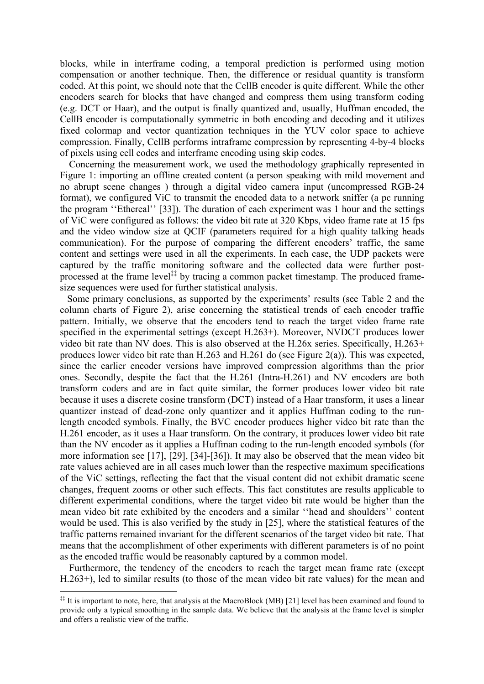blocks, while in interframe coding, a temporal prediction is performed using motion compensation or another technique. Then, the difference or residual quantity is transform coded. At this point, we should note that the CellB encoder is quite different. While the other encoders search for blocks that have changed and compress them using transform coding (e.g. DCT or Haar), and the output is finally quantized and, usually, Huffman encoded, the CellB encoder is computationally symmetric in both encoding and decoding and it utilizes fixed colormap and vector quantization techniques in the YUV color space to achieve compression. Finally, CellB performs intraframe compression by representing 4-by-4 blocks of pixels using cell codes and interframe encoding using skip codes.

Concerning the measurement work, we used the methodology graphically represented in Figure 1: importing an offline created content (a person speaking with mild movement and no abrupt scene changes ) through a digital video camera input (uncompressed RGB-24 format), we configured ViC to transmit the encoded data to a network sniffer (a pc running the program ''Ethereal'' [33]). The duration of each experiment was 1 hour and the settings of ViC were configured as follows: the video bit rate at 320 Kbps, video frame rate at 15 fps and the video window size at QCIF (parameters required for a high quality talking heads communication). For the purpose of comparing the different encoders' traffic, the same content and settings were used in all the experiments. In each case, the UDP packets were captured by the traffic monitoring software and the collected data were further postprocessed at the frame level<sup> $\ddagger\ddagger$ </sup> by tracing a common packet timestamp. The produced framesize sequences were used for further statistical analysis.

Some primary conclusions, as supported by the experiments' results (see Table 2 and the column charts of Figure 2), arise concerning the statistical trends of each encoder traffic pattern. Initially, we observe that the encoders tend to reach the target video frame rate specified in the experimental settings (except H.263+). Moreover, NVDCT produces lower video bit rate than NV does. This is also observed at the H.26x series. Specifically, H.263+ produces lower video bit rate than H.263 and H.261 do (see Figure 2(a)). This was expected, since the earlier encoder versions have improved compression algorithms than the prior ones. Secondly, despite the fact that the H.261 (Intra-H.261) and NV encoders are both transform coders and are in fact quite similar, the former produces lower video bit rate because it uses a discrete cosine transform (DCT) instead of a Haar transform, it uses a linear quantizer instead of dead-zone only quantizer and it applies Huffman coding to the runlength encoded symbols. Finally, the BVC encoder produces higher video bit rate than the H.261 encoder, as it uses a Haar transform. On the contrary, it produces lower video bit rate than the NV encoder as it applies a Huffman coding to the run-length encoded symbols (for more information see [17], [29], [34]-[36]). It may also be observed that the mean video bit rate values achieved are in all cases much lower than the respective maximum specifications of the ViC settings, reflecting the fact that the visual content did not exhibit dramatic scene changes, frequent zooms or other such effects. This fact constitutes are results applicable to different experimental conditions, where the target video bit rate would be higher than the mean video bit rate exhibited by the encoders and a similar ''head and shoulders'' content would be used. This is also verified by the study in [25], where the statistical features of the traffic patterns remained invariant for the different scenarios of the target video bit rate. That means that the accomplishment of other experiments with different parameters is of no point as the encoded traffic would be reasonably captured by a common model.

Furthermore, the tendency of the encoders to reach the target mean frame rate (except H.263+), led to similar results (to those of the mean video bit rate values) for the mean and

<sup>&</sup>lt;sup>‡‡</sup> It is important to note, here, that analysis at the MacroBlock (MB) [21] level has been examined and found to provide only a typical smoothing in the sample data. We believe that the analysis at the frame level is simpler and offers a realistic view of the traffic.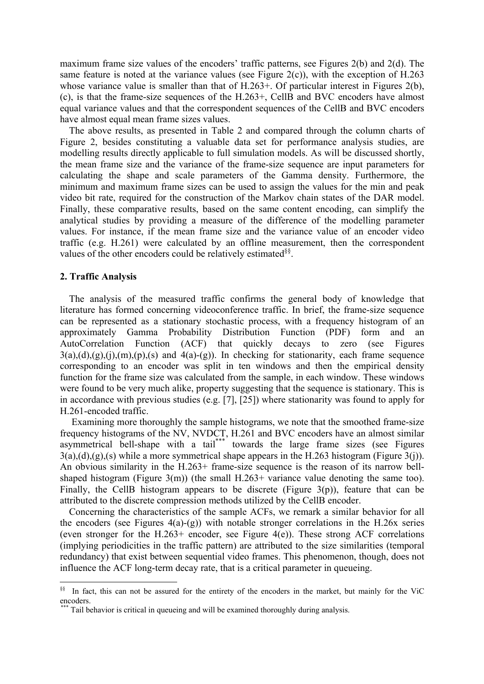maximum frame size values of the encoders' traffic patterns, see Figures 2(b) and 2(d). The same feature is noted at the variance values (see Figure 2(c)), with the exception of  $H.263$ whose variance value is smaller than that of H.263+. Of particular interest in Figures 2(b), (c), is that the frame-size sequences of the H.263+, CellB and BVC encoders have almost equal variance values and that the correspondent sequences of the CellB and BVC encoders have almost equal mean frame sizes values.

The above results, as presented in Table 2 and compared through the column charts of Figure 2, besides constituting a valuable data set for performance analysis studies, are modelling results directly applicable to full simulation models. As will be discussed shortly, the mean frame size and the variance of the frame-size sequence are input parameters for calculating the shape and scale parameters of the Gamma density. Furthermore, the minimum and maximum frame sizes can be used to assign the values for the min and peak video bit rate, required for the construction of the Markov chain states of the DAR model. Finally, these comparative results, based on the same content encoding, can simplify the analytical studies by providing a measure of the difference of the modelling parameter values. For instance, if the mean frame size and the variance value of an encoder video traffic (e.g. H.261) were calculated by an offline measurement, then the correspondent values of the other encoders could be relatively estimated<sup>§§</sup>.

## **2. Traffic Analysis**

 $\overline{a}$ 

The analysis of the measured traffic confirms the general body of knowledge that literature has formed concerning videoconference traffic. In brief, the frame-size sequence can be represented as a stationary stochastic process, with a frequency histogram of an approximately Gamma Probability Distribution Function (PDF) form and an AutoCorrelation Function (ACF) that quickly decays to zero (see Figures  $3(a)$ , $(d)$ , $(g)$ , $(i)$ , $(m)$ , $(p)$ , $(s)$  and  $4(a)$ - $(g)$ ). In checking for stationarity, each frame sequence corresponding to an encoder was split in ten windows and then the empirical density function for the frame size was calculated from the sample, in each window. These windows were found to be very much alike, property suggesting that the sequence is stationary. This is in accordance with previous studies (e.g. [7], [25]) where stationarity was found to apply for H.261-encoded traffic.

 Examining more thoroughly the sample histograms, we note that the smoothed frame-size frequency histograms of the NV, NVDCT, H.261 and BVC encoders have an almost similar asymmetrical bell-shape with a tail<sup>\*\*\*</sup> towards the large frame sizes (see Figures  $3(a)$ , $(d)$ , $(g)$ , $(s)$  while a more symmetrical shape appears in the H.263 histogram (Figure 3(j)). An obvious similarity in the H.263+ frame-size sequence is the reason of its narrow bellshaped histogram (Figure 3(m)) (the small  $H.263+$  variance value denoting the same too). Finally, the CellB histogram appears to be discrete (Figure  $3(p)$ ), feature that can be attributed to the discrete compression methods utilized by the CellB encoder.

Concerning the characteristics of the sample ACFs, we remark a similar behavior for all the encoders (see Figures  $4(a)-(g)$ ) with notable stronger correlations in the H.26x series (even stronger for the H.263+ encoder, see Figure 4(e)). These strong ACF correlations (implying periodicities in the traffic pattern) are attributed to the size similarities (temporal redundancy) that exist between sequential video frames. This phenomenon, though, does not influence the ACF long-term decay rate, that is a critical parameter in queueing.

<sup>§§</sup> In fact, this can not be assured for the entirety of the encoders in the market, but mainly for the ViC encoders.

Tail behavior is critical in queueing and will be examined thoroughly during analysis.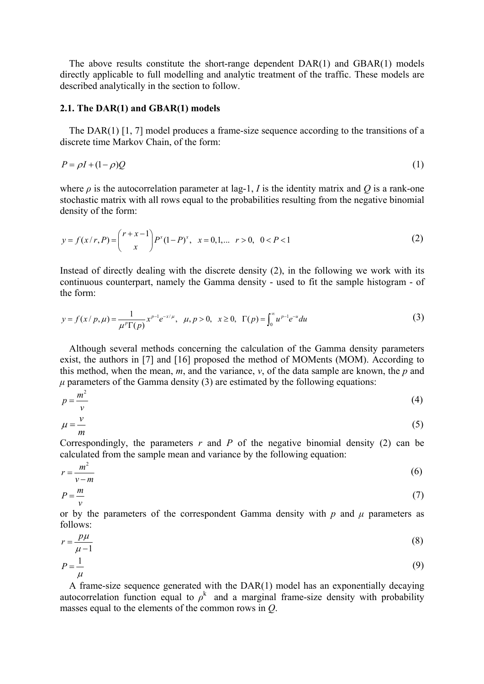The above results constitute the short-range dependent DAR(1) and GBAR(1) models directly applicable to full modelling and analytic treatment of the traffic. These models are described analytically in the section to follow.

## **2.1. The DAR(1) and GBAR(1) models**

The DAR(1) [1, 7] model produces a frame-size sequence according to the transitions of a discrete time Markov Chain, of the form:

$$
P = \rho I + (1 - \rho)Q \tag{1}
$$

where *ρ* is the autocorrelation parameter at lag-1, *I* is the identity matrix and *Q* is a rank-one stochastic matrix with all rows equal to the probabilities resulting from the negative binomial density of the form:

$$
y = f(x/r, P) = {r + x - 1 \choose x} P^{x} (1 - P)^{x}, \quad x = 0, 1, \dots, r > 0, \quad 0 < P < 1
$$
 (2)

Instead of directly dealing with the discrete density (2), in the following we work with its continuous counterpart, namely the Gamma density - used to fit the sample histogram - of the form:

$$
y = f(x/p, \mu) = \frac{1}{\mu^p \Gamma(p)} x^{p-1} e^{-x/\mu}, \quad \mu, p > 0, \quad x \ge 0, \quad \Gamma(p) = \int_0^\infty u^{p-1} e^{-u} du \tag{3}
$$

Although several methods concerning the calculation of the Gamma density parameters exist, the authors in [7] and [16] proposed the method of MOMents (MOM). According to this method, when the mean, *m*, and the variance, *v*, of the data sample are known, the *p* and  $\mu$  parameters of the Gamma density (3) are estimated by the following equations:

$$
p = \frac{m^2}{v} \tag{4}
$$

$$
\mu = \frac{v}{m} \tag{5}
$$

Correspondingly, the parameters  $r$  and  $P$  of the negative binomial density (2) can be calculated from the sample mean and variance by the following equation:

$$
r = \frac{m^2}{v - m} \tag{6}
$$

$$
P = \frac{m}{v} \tag{7}
$$

or by the parameters of the correspondent Gamma density with *p* and *µ* parameters as follows:

$$
r = \frac{p\mu}{\mu - 1} \tag{8}
$$

$$
P = \frac{1}{\mu} \tag{9}
$$

A frame-size sequence generated with the DAR(1) model has an exponentially decaying autocorrelation function equal to  $\rho^k$  and a marginal frame-size density with probability masses equal to the elements of the common rows in *Q*.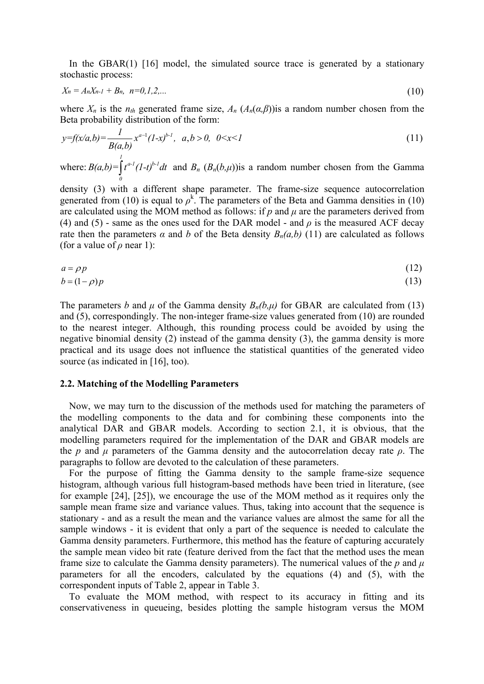In the GBAR(1)  $[16]$  model, the simulated source trace is generated by a stationary stochastic process:

$$
X_n = A_n X_{n-1} + B_n, \ \ n = 0, 1, 2, \dots \tag{10}
$$

where  $X_n$  is the  $n_{th}$  generated frame size,  $A_n$  ( $A_n(a,\beta)$ ) is a random number chosen from the Beta probability distribution of the form:

$$
y=f(x/a,b)=\frac{1}{B(a,b)}x^{a-1}(1-x)^{b-1}, a,b>0, 0\n(11)
$$

where: *1*  $a-l$  *(1 +)* $b-l$  $B(a,b) = \int_{0}^{a-1} (1-t)^{b-1} dt$  and  $B_n (B_n(b,\mu))$  a random number chosen from the Gamma

density (3) with a different shape parameter. The frame-size sequence autocorrelation generated from (10) is equal to  $\rho^k$ . The parameters of the Beta and Gamma densities in (10) are calculated using the MOM method as follows: if  $p$  and  $\mu$  are the parameters derived from (4) and (5) - same as the ones used for the DAR model - and  $\rho$  is the measured ACF decay rate then the parameters  $\alpha$  and  $b$  of the Beta density  $B_n(a,b)$  (11) are calculated as follows (for a value of  $\rho$  near 1):

$$
a = \rho p \tag{12}
$$
  

$$
b = (1 - \rho)p \tag{13}
$$

The parameters *b* and  $\mu$  of the Gamma density  $B_n(b,\mu)$  for GBAR are calculated from (13) and (5), correspondingly. The non-integer frame-size values generated from (10) are rounded to the nearest integer. Although, this rounding process could be avoided by using the negative binomial density (2) instead of the gamma density (3), the gamma density is more practical and its usage does not influence the statistical quantities of the generated video source (as indicated in [16], too).

#### **2.2. Matching of the Modelling Parameters**

Now, we may turn to the discussion of the methods used for matching the parameters of the modelling components to the data and for combining these components into the analytical DAR and GBAR models. According to section 2.1, it is obvious, that the modelling parameters required for the implementation of the DAR and GBAR models are the *p* and  $\mu$  parameters of the Gamma density and the autocorrelation decay rate  $\rho$ . The paragraphs to follow are devoted to the calculation of these parameters.

For the purpose of fitting the Gamma density to the sample frame-size sequence histogram, although various full histogram-based methods have been tried in literature, (see for example [24], [25]), we encourage the use of the MOM method as it requires only the sample mean frame size and variance values. Thus, taking into account that the sequence is stationary - and as a result the mean and the variance values are almost the same for all the sample windows - it is evident that only a part of the sequence is needed to calculate the Gamma density parameters. Furthermore, this method has the feature of capturing accurately the sample mean video bit rate (feature derived from the fact that the method uses the mean frame size to calculate the Gamma density parameters). The numerical values of the  $p$  and  $\mu$ parameters for all the encoders, calculated by the equations (4) and (5), with the correspondent inputs of Table 2, appear in Table 3.

To evaluate the MOM method, with respect to its accuracy in fitting and its conservativeness in queueing, besides plotting the sample histogram versus the MOM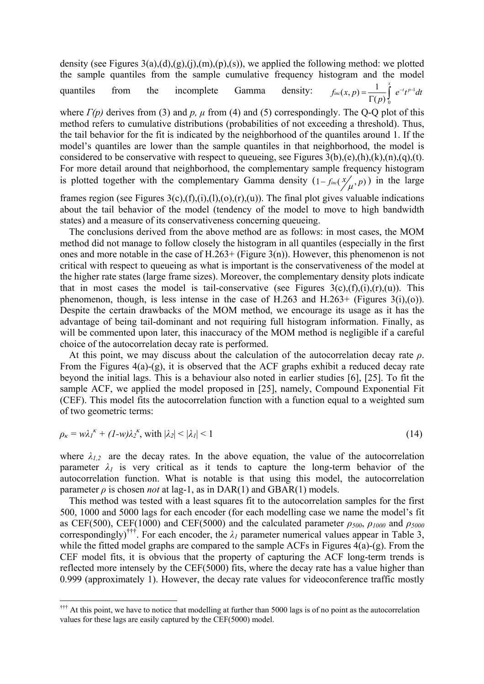density (see Figures  $3(a)$ , $(d)$ , $(g)$ , $(i)$ , $(m)$ , $(p)$ , $(s)$ ), we applied the following method: we plotted the sample quantiles from the sample cumulative frequency histogram and the model quantiles from the incomplete Gamma density:  $f_{inc}(x, p) = \frac{1}{\Gamma(p)} \int_{0}^{x} e^{-t} t^{p-1} dt$  $=\frac{1}{\Gamma(p)}\int_{0}^{1}e^{-t}t^{p-1}dt$ 

where  $\Gamma(p)$  derives from (3) and p,  $\mu$  from (4) and (5) correspondingly. The Q-Q plot of this method refers to cumulative distributions (probabilities of not exceeding a threshold). Thus, the tail behavior for the fit is indicated by the neighborhood of the quantiles around 1. If the model's quantiles are lower than the sample quantiles in that neighborhood, the model is considered to be conservative with respect to queueing, see Figures  $3(b),(e),(h),(k),(n),(q),(t).$ For more detail around that neighborhood, the complementary sample frequency histogram is plotted together with the complementary Gamma density  $(1 - f_{inc}(\frac{x}{\mu}, p))$  in the large

frames region (see Figures 3(c),(f),(i),(l),(o),(r),(u)). The final plot gives valuable indications about the tail behavior of the model (tendency of the model to move to high bandwidth states) and a measure of its conservativeness concerning queueing.

The conclusions derived from the above method are as follows: in most cases, the MOM method did not manage to follow closely the histogram in all quantiles (especially in the first ones and more notable in the case of  $H.263+$  (Figure 3(n)). However, this phenomenon is not critical with respect to queueing as what is important is the conservativeness of the model at the higher rate states (large frame sizes). Moreover, the complementary density plots indicate that in most cases the model is tail-conservative (see Figures  $3(c)$ , $(f)$ , $(i)$ , $(r)$ , $(u)$ ). This phenomenon, though, is less intense in the case of H.263 and H.263+ (Figures  $3(i)$ ,(o)). Despite the certain drawbacks of the MOM method, we encourage its usage as it has the advantage of being tail-dominant and not requiring full histogram information. Finally, as will be commented upon later, this inaccuracy of the MOM method is negligible if a careful choice of the autocorrelation decay rate is performed.

At this point, we may discuss about the calculation of the autocorrelation decay rate *ρ*. From the Figures 4(a)-(g), it is observed that the ACF graphs exhibit a reduced decay rate beyond the initial lags. This is a behaviour also noted in earlier studies [6], [25]. To fit the sample ACF, we applied the model proposed in [25], namely, Compound Exponential Fit (CEF). This model fits the autocorrelation function with a function equal to a weighted sum of two geometric terms:

$$
\rho_{\kappa} = w\lambda_1^{\kappa} + (1-w)\lambda_2^{\kappa}, \text{ with } |\lambda_2| < |\lambda_1| < 1 \tag{14}
$$

where  $\lambda_{1,2}$  are the decay rates. In the above equation, the value of the autocorrelation parameter  $\lambda_l$  is very critical as it tends to capture the long-term behavior of the autocorrelation function. What is notable is that using this model, the autocorrelation parameter  $\rho$  is chosen *not* at lag-1, as in DAR(1) and GBAR(1) models.

This method was tested with a least squares fit to the autocorrelation samples for the first 500, 1000 and 5000 lags for each encoder (for each modelling case we name the model's fit as CEF(500), CEF(1000) and CEF(5000) and the calculated parameter *ρ500*, *ρ<sup>1000</sup>* and *ρ<sup>5000</sup>* correspondingly)<sup>†††</sup>. For each encoder, the  $\lambda_l$  parameter numerical values appear in Table 3, while the fitted model graphs are compared to the sample ACFs in Figures 4(a)-(g). From the CEF model fits, it is obvious that the property of capturing the ACF long-term trends is reflected more intensely by the CEF(5000) fits, where the decay rate has a value higher than 0.999 (approximately 1). However, the decay rate values for videoconference traffic mostly

 $\ddot{\rm{t}}$  At this point, we have to notice that modelling at further than 5000 lags is of no point as the autocorrelation values for these lags are easily captured by the CEF(5000) model.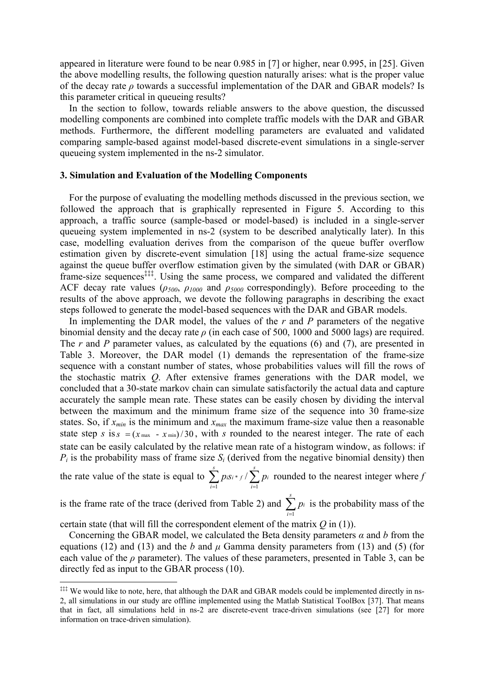appeared in literature were found to be near 0.985 in [7] or higher, near 0.995, in [25]. Given the above modelling results, the following question naturally arises: what is the proper value of the decay rate *ρ* towards a successful implementation of the DAR and GBAR models? Is this parameter critical in queueing results?

In the section to follow, towards reliable answers to the above question, the discussed modelling components are combined into complete traffic models with the DAR and GBAR methods. Furthermore, the different modelling parameters are evaluated and validated comparing sample-based against model-based discrete-event simulations in a single-server queueing system implemented in the ns-2 simulator.

## **3. Simulation and Evaluation of the Modelling Components**

For the purpose of evaluating the modelling methods discussed in the previous section, we followed the approach that is graphically represented in Figure 5. According to this approach, a traffic source (sample-based or model-based) is included in a single-server queueing system implemented in ns-2 (system to be described analytically later). In this case, modelling evaluation derives from the comparison of the queue buffer overflow estimation given by discrete-event simulation [18] using the actual frame-size sequence against the queue buffer overflow estimation given by the simulated (with DAR or GBAR) frame-size sequences<sup>‡‡‡</sup>. Using the same process, we compared and validated the different ACF decay rate values (*ρ500*, *ρ<sup>1000</sup>* and *ρ5000* correspondingly). Before proceeding to the results of the above approach, we devote the following paragraphs in describing the exact steps followed to generate the model-based sequences with the DAR and GBAR models.

In implementing the DAR model, the values of the *r* and *P* parameters of the negative binomial density and the decay rate *ρ* (in each case of 500, 1000 and 5000 lags) are required. The *r* and *P* parameter values, as calculated by the equations (6) and (7), are presented in Table 3. Moreover, the DAR model (1) demands the representation of the frame-size sequence with a constant number of states, whose probabilities values will fill the rows of the stochastic matrix *Q*. After extensive frames generations with the DAR model, we concluded that a 30-state markov chain can simulate satisfactorily the actual data and capture accurately the sample mean rate. These states can be easily chosen by dividing the interval between the maximum and the minimum frame size of the sequence into 30 frame-size states. So, if  $x_{min}$  is the minimum and  $x_{max}$  the maximum frame-size value then a reasonable state step *s* is  $s = (x_{\text{max}} - x_{\text{min}})/30$ , with *s* rounded to the nearest integer. The rate of each state can be easily calculated by the relative mean rate of a histogram window, as follows: if  $P_i$  is the probability mass of frame size  $S_i$  (derived from the negative binomial density) then

the rate value of the state is equal to  $\sum p_i s_i$ .  $i=1$ / *s s iSi* \* f  $\prime$  **)**  $pi$ *i i*  $p$  *iSi* \* f  $/$   $\sum p$  $\sum_{i=1}^{n} p_{i} s_{i} \cdot f / \sum_{i=1}^{n} p_{i}$  rounded to the nearest integer where *f* 

is the frame rate of the trace (derived from Table 2) and 1 *s i i p*  $\sum_{i=1}^{\infty} p_i$  is the probability mass of the

certain state (that will fill the correspondent element of the matrix *Q* in (1)).

 $\overline{a}$ 

Concerning the GBAR model, we calculated the Beta density parameters *α* and *b* from the equations (12) and (13) and the *b* and  $\mu$  Gamma density parameters from (13) and (5) (for each value of the  $\rho$  parameter). The values of these parameters, presented in Table 3, can be directly fed as input to the GBAR process (10).

<sup>&</sup>lt;sup>‡‡‡</sup> We would like to note, here, that although the DAR and GBAR models could be implemented directly in ns-2, all simulations in our study are offline implemented using the Matlab Statistical ToolBox [37]. That means that in fact, all simulations held in ns-2 are discrete-event trace-driven simulations (see [27] for more information on trace-driven simulation).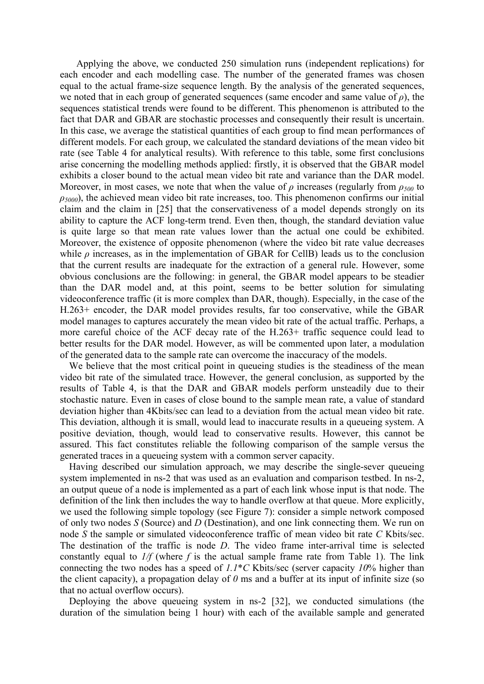Applying the above, we conducted 250 simulation runs (independent replications) for each encoder and each modelling case. The number of the generated frames was chosen equal to the actual frame-size sequence length. By the analysis of the generated sequences, we noted that in each group of generated sequences (same encoder and same value of  $\rho$ ), the sequences statistical trends were found to be different. This phenomenon is attributed to the fact that DAR and GBAR are stochastic processes and consequently their result is uncertain. In this case, we average the statistical quantities of each group to find mean performances of different models. For each group, we calculated the standard deviations of the mean video bit rate (see Table 4 for analytical results). With reference to this table, some first conclusions arise concerning the modelling methods applied: firstly, it is observed that the GBAR model exhibits a closer bound to the actual mean video bit rate and variance than the DAR model. Moreover, in most cases, we note that when the value of  $\rho$  increases (regularly from  $\rho_{500}$  to *ρ5000*), the achieved mean video bit rate increases, too. This phenomenon confirms our initial claim and the claim in [25] that the conservativeness of a model depends strongly on its ability to capture the ACF long-term trend. Even then, though, the standard deviation value is quite large so that mean rate values lower than the actual one could be exhibited. Moreover, the existence of opposite phenomenon (where the video bit rate value decreases while  $\rho$  increases, as in the implementation of GBAR for CellB) leads us to the conclusion that the current results are inadequate for the extraction of a general rule. However, some obvious conclusions are the following: in general, the GBAR model appears to be steadier than the DAR model and, at this point, seems to be better solution for simulating videoconference traffic (it is more complex than DAR, though). Especially, in the case of the H.263+ encoder, the DAR model provides results, far too conservative, while the GBAR model manages to captures accurately the mean video bit rate of the actual traffic. Perhaps, a more careful choice of the ACF decay rate of the H.263+ traffic sequence could lead to better results for the DAR model. However, as will be commented upon later, a modulation of the generated data to the sample rate can overcome the inaccuracy of the models.

We believe that the most critical point in queueing studies is the steadiness of the mean video bit rate of the simulated trace. However, the general conclusion, as supported by the results of Table 4, is that the DAR and GBAR models perform unsteadily due to their stochastic nature. Even in cases of close bound to the sample mean rate, a value of standard deviation higher than 4Kbits/sec can lead to a deviation from the actual mean video bit rate. This deviation, although it is small, would lead to inaccurate results in a queueing system. A positive deviation, though, would lead to conservative results. However, this cannot be assured. This fact constitutes reliable the following comparison of the sample versus the generated traces in a queueing system with a common server capacity.

Having described our simulation approach, we may describe the single-sever queueing system implemented in ns-2 that was used as an evaluation and comparison testbed. In ns-2, an output queue of a node is implemented as a part of each link whose input is that node. The definition of the link then includes the way to handle overflow at that queue. More explicitly, we used the following simple topology (see Figure 7): consider a simple network composed of only two nodes *S* (Source) and *D* (Destination), and one link connecting them. We run on node *S* the sample or simulated videoconference traffic of mean video bit rate *C* Kbits/sec. The destination of the traffic is node *D*. The video frame inter-arrival time is selected constantly equal to  $1/f$  (where  $f$  is the actual sample frame rate from Table 1). The link connecting the two nodes has a speed of *1.1*\**C* Kbits/sec (server capacity *10*% higher than the client capacity), a propagation delay of *0* ms and a buffer at its input of infinite size (so that no actual overflow occurs).

Deploying the above queueing system in ns-2 [32], we conducted simulations (the duration of the simulation being 1 hour) with each of the available sample and generated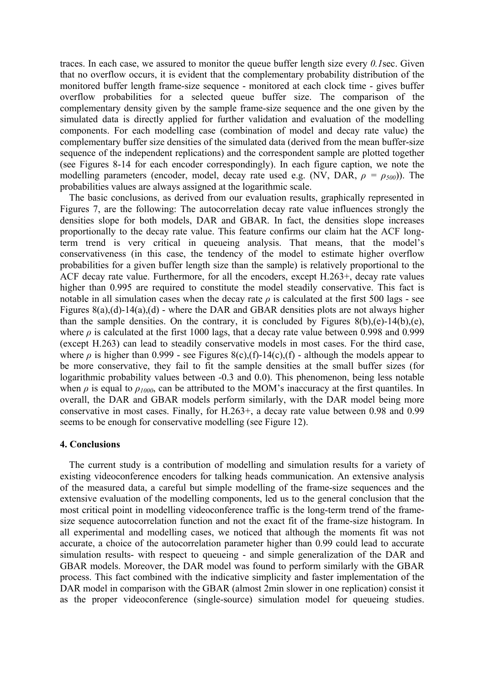traces. In each case, we assured to monitor the queue buffer length size every *0.1*sec. Given that no overflow occurs, it is evident that the complementary probability distribution of the monitored buffer length frame-size sequence - monitored at each clock time - gives buffer overflow probabilities for a selected queue buffer size. The comparison of the complementary density given by the sample frame-size sequence and the one given by the simulated data is directly applied for further validation and evaluation of the modelling components. For each modelling case (combination of model and decay rate value) the complementary buffer size densities of the simulated data (derived from the mean buffer-size sequence of the independent replications) and the correspondent sample are plotted together (see Figures 8-14 for each encoder correspondingly). In each figure caption, we note the modelling parameters (encoder, model, decay rate used e.g. (NV, DAR, *ρ = ρ500*)). The probabilities values are always assigned at the logarithmic scale.

The basic conclusions, as derived from our evaluation results, graphically represented in Figures 7, are the following: The autocorrelation decay rate value influences strongly the densities slope for both models, DAR and GBAR. In fact, the densities slope increases proportionally to the decay rate value. This feature confirms our claim hat the ACF longterm trend is very critical in queueing analysis. That means, that the model's conservativeness (in this case, the tendency of the model to estimate higher overflow probabilities for a given buffer length size than the sample) is relatively proportional to the ACF decay rate value. Furthermore, for all the encoders, except H.263+, decay rate values higher than 0.995 are required to constitute the model steadily conservative. This fact is notable in all simulation cases when the decay rate  $\rho$  is calculated at the first 500 lags - see Figures  $8(a)$ ,(d)-14(a),(d) - where the DAR and GBAR densities plots are not always higher than the sample densities. On the contrary, it is concluded by Figures  $8(b)$ , (e)-14(b), (e), where  $\rho$  is calculated at the first 1000 lags, that a decay rate value between 0.998 and 0.999 (except H.263) can lead to steadily conservative models in most cases. For the third case, where  $\rho$  is higher than 0.999 - see Figures 8(c),(f)-14(c),(f) - although the models appear to be more conservative, they fail to fit the sample densities at the small buffer sizes (for logarithmic probability values between -0.3 and 0.0). This phenomenon, being less notable when  $\rho$  is equal to  $\rho_{1000}$ , can be attributed to the MOM's inaccuracy at the first quantiles. In overall, the DAR and GBAR models perform similarly, with the DAR model being more conservative in most cases. Finally, for H.263+, a decay rate value between 0.98 and 0.99 seems to be enough for conservative modelling (see Figure 12).

## **4. Conclusions**

The current study is a contribution of modelling and simulation results for a variety of existing videoconference encoders for talking heads communication. An extensive analysis of the measured data, a careful but simple modelling of the frame-size sequences and the extensive evaluation of the modelling components, led us to the general conclusion that the most critical point in modelling videoconference traffic is the long-term trend of the framesize sequence autocorrelation function and not the exact fit of the frame-size histogram. In all experimental and modelling cases, we noticed that although the moments fit was not accurate, a choice of the autocorrelation parameter higher than 0.99 could lead to accurate simulation results- with respect to queueing - and simple generalization of the DAR and GBAR models. Moreover, the DAR model was found to perform similarly with the GBAR process. This fact combined with the indicative simplicity and faster implementation of the DAR model in comparison with the GBAR (almost 2min slower in one replication) consist it as the proper videoconference (single-source) simulation model for queueing studies.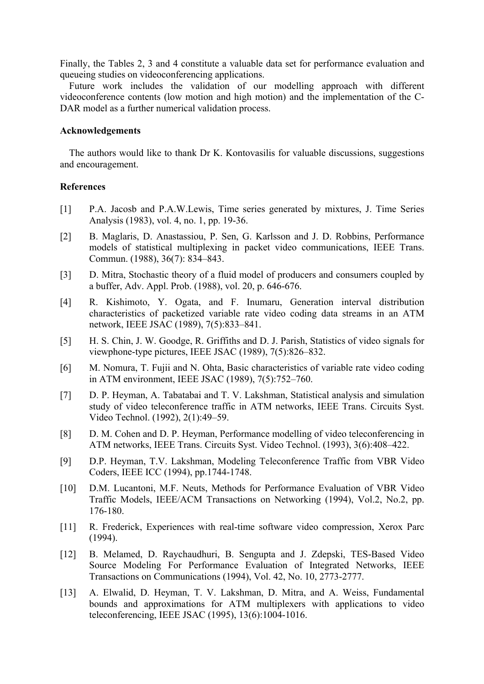Finally, the Tables 2, 3 and 4 constitute a valuable data set for performance evaluation and queueing studies on videoconferencing applications.

Future work includes the validation of our modelling approach with different videoconference contents (low motion and high motion) and the implementation of the C-DAR model as a further numerical validation process.

## **Acknowledgements**

The authors would like to thank Dr K. Kontovasilis for valuable discussions, suggestions and encouragement.

# **References**

- [1] P.A. Jacosb and P.A.W.Lewis, Time series generated by mixtures, J. Time Series Analysis (1983), vol. 4, no. 1, pp. 19-36.
- [2] B. Maglaris, D. Anastassiou, P. Sen, G. Karlsson and J. D. Robbins, Performance models of statistical multiplexing in packet video communications, IEEE Trans. Commun. (1988), 36(7): 834–843.
- [3] D. Mitra, Stochastic theory of a fluid model of producers and consumers coupled by a buffer, Adv. Appl. Prob. (1988), vol. 20, p. 646-676.
- [4] R. Kishimoto, Y. Ogata, and F. Inumaru, Generation interval distribution characteristics of packetized variable rate video coding data streams in an ATM network, IEEE JSAC (1989), 7(5):833–841.
- [5] H. S. Chin, J. W. Goodge, R. Griffiths and D. J. Parish, Statistics of video signals for viewphone-type pictures, IEEE JSAC (1989), 7(5):826–832.
- [6] M. Nomura, T. Fujii and N. Ohta, Basic characteristics of variable rate video coding in ATM environment, IEEE JSAC (1989), 7(5):752–760.
- [7] D. P. Heyman, A. Tabatabai and T. V. Lakshman, Statistical analysis and simulation study of video teleconference traffic in ATM networks, IEEE Trans. Circuits Syst. Video Technol. (1992), 2(1):49–59.
- [8] D. M. Cohen and D. P. Heyman, Performance modelling of video teleconferencing in ATM networks, IEEE Trans. Circuits Syst. Video Technol. (1993), 3(6):408–422.
- [9] D.P. Heyman, T.V. Lakshman, Modeling Teleconference Traffic from VBR Video Coders, IEEE ICC (1994), pp.1744-1748.
- [10] D.M. Lucantoni, M.F. Neuts, Methods for Performance Evaluation of VBR Video Traffic Models, IEEE/ACM Transactions on Networking (1994), Vol.2, No.2, pp. 176-180.
- [11] R. Frederick, Experiences with real-time software video compression, Xerox Parc (1994).
- [12] B. Melamed, D. Raychaudhuri, B. Sengupta and J. Zdepski, TES-Based Video Source Modeling For Performance Evaluation of Integrated Networks, IEEE Transactions on Communications (1994), Vol. 42, No. 10, 2773-2777.
- [13] A. Elwalid, D. Heyman, T. V. Lakshman, D. Mitra, and A. Weiss, Fundamental bounds and approximations for ATM multiplexers with applications to video teleconferencing, IEEE JSAC (1995), 13(6):1004-1016.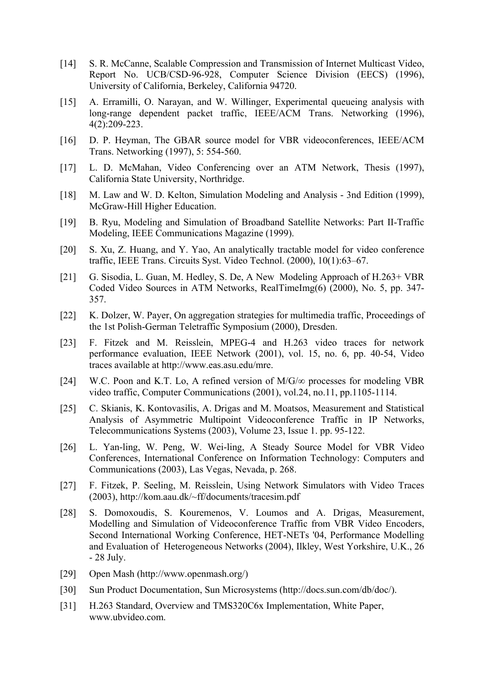- [14] S. R. McCanne, Scalable Compression and Transmission of Internet Multicast Video, Report No. UCB/CSD-96-928, Computer Science Division (EECS) (1996), University of California, Berkeley, California 94720.
- [15] A. Erramilli, O. Narayan, and W. Willinger, Experimental queueing analysis with long-range dependent packet traffic, IEEE/ACM Trans. Networking (1996), 4(2):209-223.
- [16] D. P. Heyman, The GBAR source model for VBR videoconferences, IEEE/ACM Trans. Networking (1997), 5: 554-560.
- [17] L. D. McMahan, Video Conferencing over an ATM Network, Thesis (1997), California State University, Northridge.
- [18] M. Law and W. D. Kelton, Simulation Modeling and Analysis 3nd Edition (1999), McGraw-Hill Higher Education.
- [19] B. Ryu, Modeling and Simulation of Broadband Satellite Networks: Part II-Traffic Modeling, IEEE Communications Magazine (1999).
- [20] S. Xu, Z. Huang, and Y. Yao, An analytically tractable model for video conference traffic, IEEE Trans. Circuits Syst. Video Technol. (2000), 10(1):63–67.
- [21] G. Sisodia, L. Guan, M. Hedley, S. De, A New Modeling Approach of H.263+ VBR Coded Video Sources in ATM Networks, RealTimeImg(6) (2000), No. 5, pp. 347- 357.
- [22] K. Dolzer, W. Payer, On aggregation strategies for multimedia traffic, Proceedings of the 1st Polish-German Teletraffic Symposium (2000), Dresden.
- [23] F. Fitzek and M. Reisslein, MPEG-4 and H.263 video traces for network performance evaluation, IEEE Network (2001), vol. 15, no. 6, pp. 40-54, Video traces available at http://www.eas.asu.edu/mre.
- [24] W.C. Poon and K.T. Lo, A refined version of  $M/G/\infty$  processes for modeling VBR video traffic, Computer Communications (2001), vol.24, no.11, pp.1105-1114.
- [25] C. Skianis, K. Kontovasilis, A. Drigas and M. Moatsos, Measurement and Statistical Analysis of Asymmetric Multipoint Videoconference Traffic in IP Networks, Telecommunications Systems (2003), Volume 23, Issue 1. pp. 95-122.
- [26] L. Yan-ling, W. Peng, W. Wei-ling, A Steady Source Model for VBR Video Conferences, International Conference on Information Technology: Computers and Communications (2003), Las Vegas, Nevada, p. 268.
- [27] F. Fitzek, P. Seeling, M. Reisslein, Using Network Simulators with Video Traces (2003), http://kom.aau.dk/~ff/documents/tracesim.pdf
- [28] S. Domoxoudis, S. Kouremenos, V. Loumos and A. Drigas, Measurement, Modelling and Simulation of Videoconference Traffic from VBR Video Encoders, Second International Working Conference, HET-NETs '04, Performance Modelling and Evaluation of Heterogeneous Networks (2004), Ilkley, West Yorkshire, U.K., 26 - 28 July.
- [29] Open Mash (http://www.openmash.org/)
- [30] Sun Product Documentation, Sun Microsystems (http://docs.sun.com/db/doc/).
- [31] H.263 Standard, Overview and TMS320C6x Implementation, White Paper, www.ubvideo.com.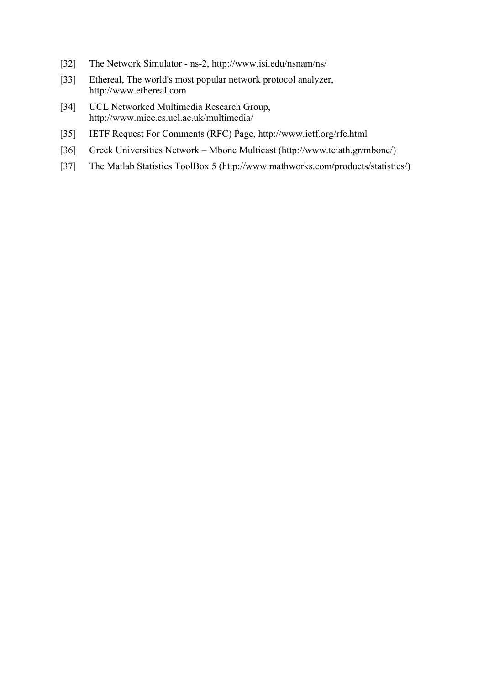- [32] The Network Simulator ns-2, http://www.isi.edu/nsnam/ns/
- [33] Ethereal, The world's most popular network protocol analyzer, http://www.ethereal.com
- [34] UCL Networked Multimedia Research Group, http://www.mice.cs.ucl.ac.uk/multimedia/
- [35] IETF Request For Comments (RFC) Page, http://www.ietf.org/rfc.html
- [36] Greek Universities Network Mbone Multicast (http://www.teiath.gr/mbone/)
- [37] The Matlab Statistics ToolBox 5 (http://www.mathworks.com/products/statistics/)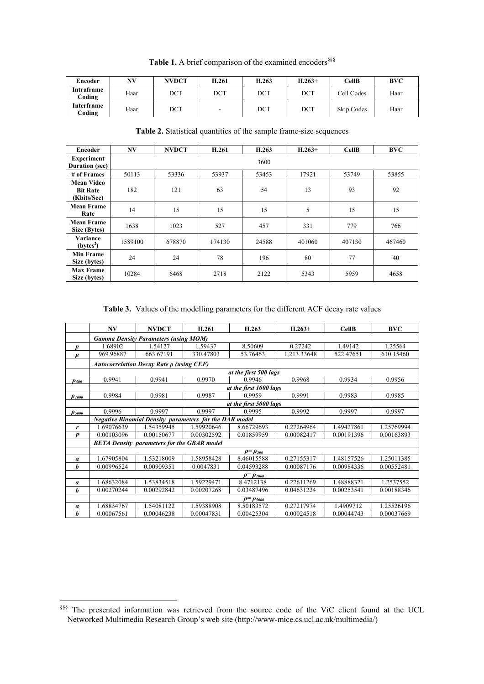| Encoder              | NV   | <b>NVDCT</b> | H.261  | H.263 | $H.263+$ | CellB      | <b>BVC</b> |
|----------------------|------|--------------|--------|-------|----------|------------|------------|
| Intraframe<br>Coding | Haar | DCT          | DCT    | DCT   | DCT      | Cell Codes | Haar       |
| Interframe<br>Coding | Haar | DCT          | $\sim$ | DCT   | DCT      | Skip Codes | Haar       |

Table 1. A brief comparison of the examined encoders<sup>§§§</sup>

**Table 2.** Statistical quantities of the sample frame-size sequences

| Encoder                                      | NV      | <b>NVDCT</b> | H.261  | H.263 | $H.263+$ | <b>CellB</b> | <b>BVC</b> |
|----------------------------------------------|---------|--------------|--------|-------|----------|--------------|------------|
| <b>Experiment</b><br><b>Duration</b> (sec)   | 3600    |              |        |       |          |              |            |
| # of Frames                                  | 50113   | 53336        | 53937  | 53453 | 17921    | 53749        | 53855      |
| Mean Video<br><b>Bit Rate</b><br>(Kbits/Sec) | 182     | 121          | 63     | 54    | 13       | 93           | 92         |
| <b>Mean Frame</b><br>Rate                    | 14      | 15           | 15     | 15    | 5        | 15           | 15         |
| <b>Mean Frame</b><br>Size (Bytes)            | 1638    | 1023         | 527    | 457   | 331      | 779          | 766        |
| Variance<br>$(bvtes^2)$                      | 1589100 | 678870       | 174130 | 24588 | 401060   | 407130       | 467460     |
| <b>Min Frame</b><br>Size (bytes)             | 24      | 24           | 78     | 196   | 80       | 77           | 40         |
| <b>Max Frame</b><br>Size (bytes)             | 10284   | 6468         | 2718   | 2122  | 5343     | 5959         | 4658       |

**Table 3.** Values of the modelling parameters for the different ACF decay rate values

|                                   | NV                                                            | <b>NVDCT</b> | H.261      | H.263      | $H.263+$    | <b>CellB</b> | <b>BVC</b> |  |  |  |
|-----------------------------------|---------------------------------------------------------------|--------------|------------|------------|-------------|--------------|------------|--|--|--|
|                                   | <b>Gamma Density Parameters (using MOM)</b>                   |              |            |            |             |              |            |  |  |  |
| D                                 | 1.68902                                                       | 1.54127      | 1.59437    | 8.50609    | 0.27242     | 1.49142      | 1.25564    |  |  |  |
| $\mu$                             | 969.96887                                                     | 663.67191    | 330.47803  | 53.76463   | 1,213.33648 | 522.47651    | 610.15460  |  |  |  |
|                                   | Autocorrelation Decay Rate $\rho$ (using CEF)                 |              |            |            |             |              |            |  |  |  |
|                                   | at the first 500 lags                                         |              |            |            |             |              |            |  |  |  |
| P soo                             | 0.9941                                                        | 0.9941       | 0.9970     | 0.9946     | 0.9968      | 0.9934       | 0.9956     |  |  |  |
|                                   | at the first 1000 lags                                        |              |            |            |             |              |            |  |  |  |
| $\rho_{\scriptscriptstyle I}$ 000 | 0.9984                                                        | 0.9981       | 0.9987     | 0.9959     | 0.9991      | 0.9983       | 0.9985     |  |  |  |
|                                   | at the first 5000 lags                                        |              |            |            |             |              |            |  |  |  |
| $\rho_{\it 5000}$                 | 0.9996                                                        | 0.9997       | 0.9997     | 0.9995     | 0.9992      | 0.9997       | 0.9997     |  |  |  |
|                                   | <b>Negative Binomial Density parameters for the DAR model</b> |              |            |            |             |              |            |  |  |  |
| r                                 | 1.69076639                                                    | 1.54359945   | 1.59920646 | 8.66729693 | 0.27264964  | 1.49427861   | 1.25769994 |  |  |  |
| $\boldsymbol{P}$                  | 0.00103096                                                    | 0.00150677   | 0.00302592 | 0.01859959 | 0.00082417  | 0.00191396   | 0.00163893 |  |  |  |
|                                   | <b>BETA Density parameters for the GBAR model</b>             |              |            |            |             |              |            |  |  |  |
|                                   | $\rho = \rho_{500}$                                           |              |            |            |             |              |            |  |  |  |
| $\alpha$                          | 1.67905804                                                    | 1.53218009   | 1.58958428 | 8.46015588 | 0.27155317  | 1.48157526   | 1.25011385 |  |  |  |
| h                                 | 0.00996524                                                    | 0.00909351   | 0.0047831  | 0.04593288 | 0.00087176  | 0.00984336   | 0.00552481 |  |  |  |
|                                   | $\rho = \rho_{1000}$                                          |              |            |            |             |              |            |  |  |  |
| $\alpha$                          | 1.68632084                                                    | 1.53834518   | 1.59229471 | 8.4712138  | 0.22611269  | 1.48888321   | 1.2537552  |  |  |  |
| h                                 | 0.00270244                                                    | 0.00292842   | 0.00207268 | 0.03487496 | 0.04631224  | 0.00253541   | 0.00188346 |  |  |  |
|                                   | $\rho = \rho_{5000}$                                          |              |            |            |             |              |            |  |  |  |
| $\alpha$                          | 1.68834767                                                    | 1.54081122   | 1.59388908 | 8.50183572 | 0.27217974  | 1.4909712    | 1.25526196 |  |  |  |
| b                                 | 0.00067561                                                    | 0.00046238   | 0.00047831 | 0.00425304 | 0.00024518  | 0.00044743   | 0.00037669 |  |  |  |

<sup>§§§§</sup> The presented information was retrieved from the source code of the ViC client found at the UCL Networked Multimedia Research Group's web site (http://www-mice.cs.ucl.ac.uk/multimedia/)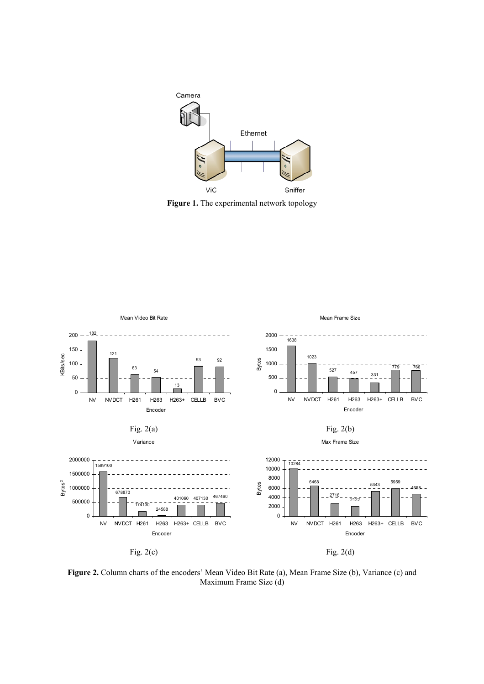

**Figure 1.** The experimental network topology



**Figure 2.** Column charts of the encoders' Mean Video Bit Rate (a), Mean Frame Size (b), Variance (c) and Maximum Frame Size (d)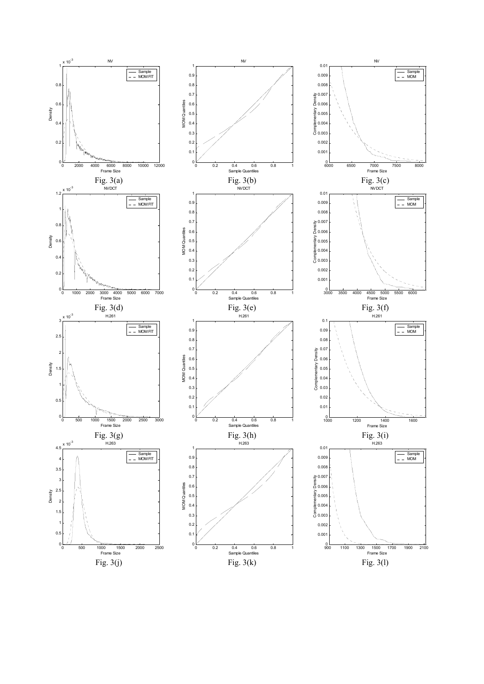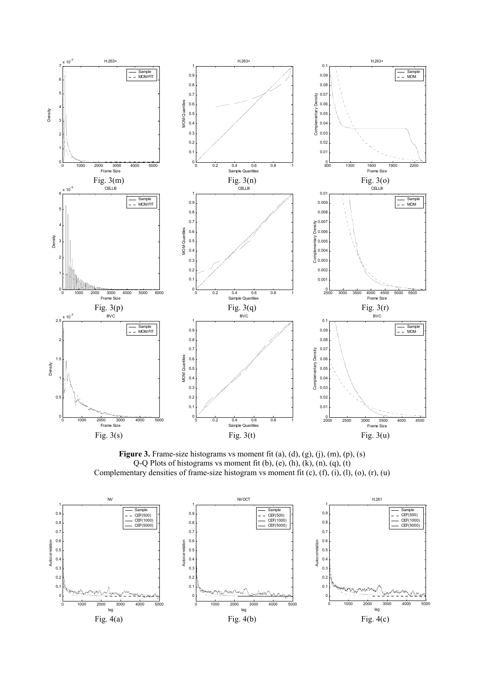

Figure 3. Frame-size histograms vs moment fit (a), (d), (g), (j), (m), (p), (s) Q-Q Plots of histograms vs moment fit (b), (e), (h), (k), (n), (q), (t) Complementary densities of frame-size histogram vs moment fit (c), (f), (i), (l), (o), (r), (u)

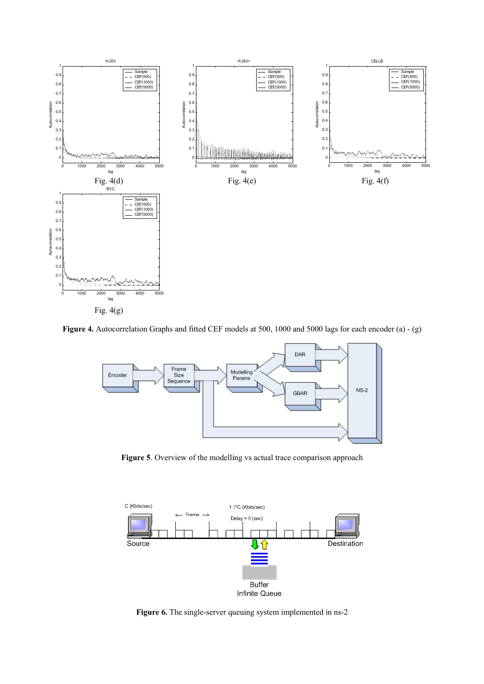

**Figure 4.** Autocorrelation Graphs and fitted CEF models at 500, 1000 and 5000 lags for each encoder (a) - (g)



Figure 5. Overview of the modelling vs actual trace comparison approach



Figure 6. The single-server queuing system implemented in ns-2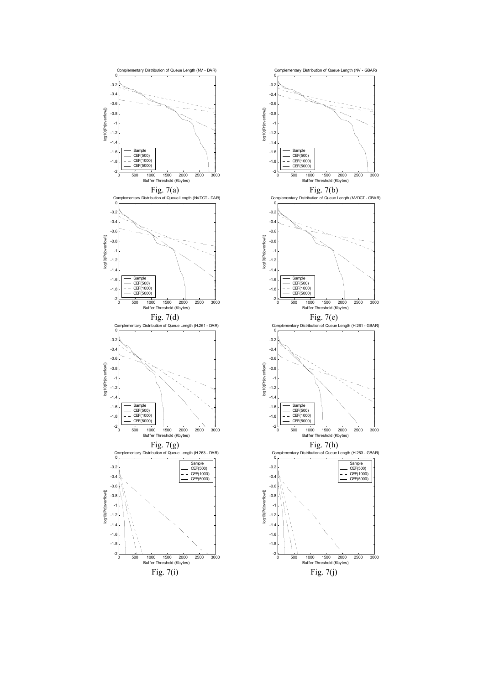